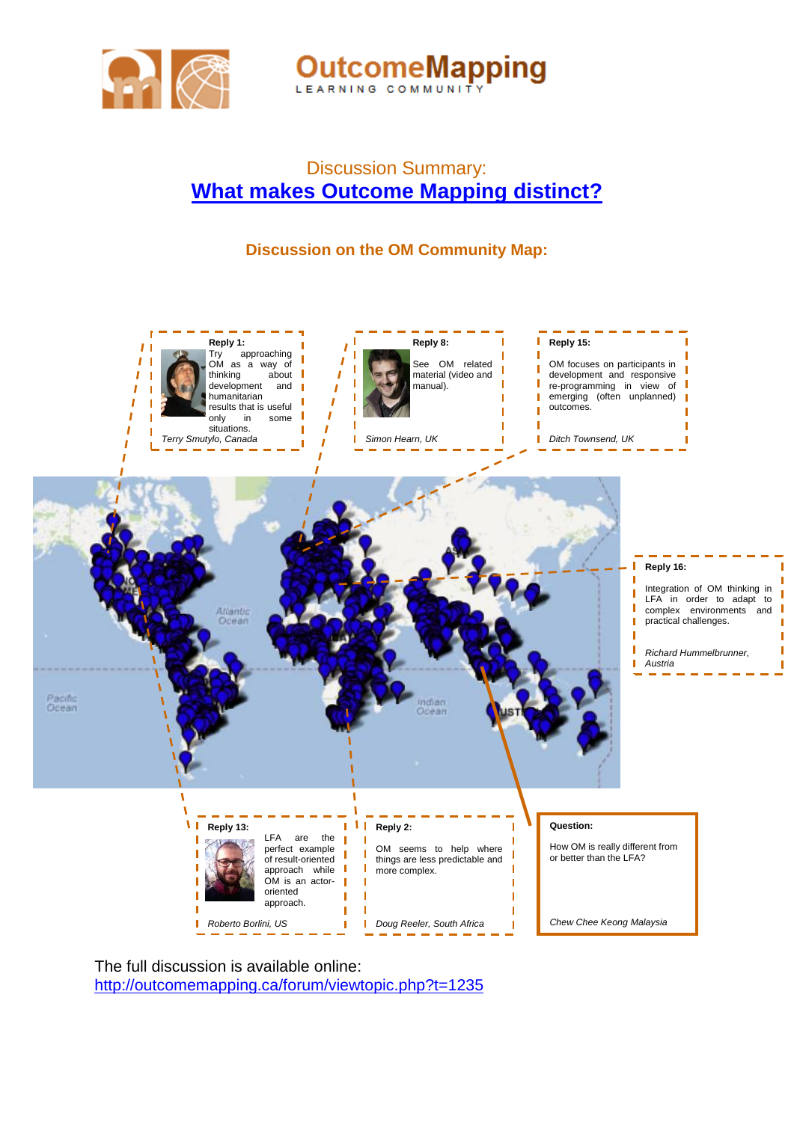

**OutcomeMapping** 

## Discussion Summary: **[What makes Outcome Mapping distinct?](http://outcomemapping.ca/forum/viewtopic.php?t=1235)**

## **Discussion on the OM Community Map:**



The full discussion is available online: <http://outcomemapping.ca/forum/viewtopic.php?t=1235>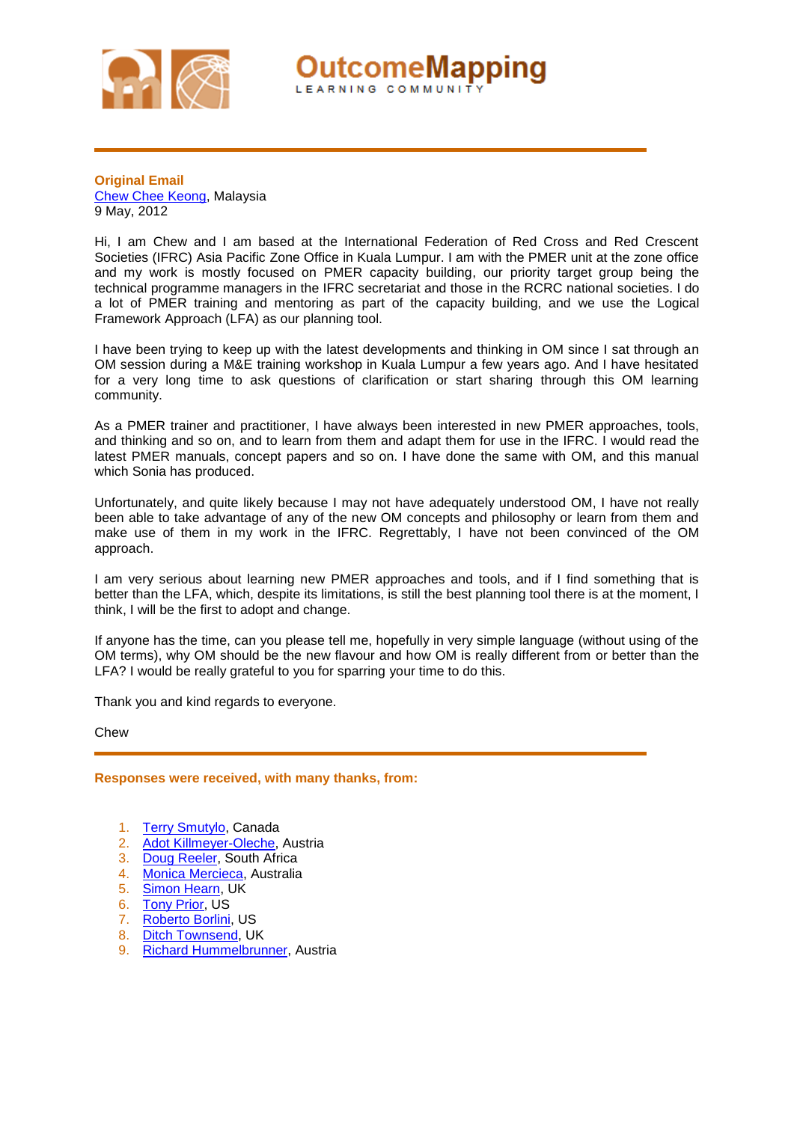

utcomeMapping LEARNING COMMUNIT

**Original Email**  [Chew Chee Keong,](http://www.outcomemapping.ca/members/member.php?id=1983) Malaysia 9 May, 2012

Hi, I am Chew and I am based at the International Federation of Red Cross and Red Crescent Societies (IFRC) Asia Pacific Zone Office in Kuala Lumpur. I am with the PMER unit at the zone office and my work is mostly focused on PMER capacity building, our priority target group being the technical programme managers in the IFRC secretariat and those in the RCRC national societies. I do a lot of PMER training and mentoring as part of the capacity building, and we use the Logical Framework Approach (LFA) as our planning tool.

I have been trying to keep up with the latest developments and thinking in OM since I sat through an OM session during a M&E training workshop in Kuala Lumpur a few years ago. And I have hesitated for a very long time to ask questions of clarification or start sharing through this OM learning community.

As a PMER trainer and practitioner, I have always been interested in new PMER approaches, tools, and thinking and so on, and to learn from them and adapt them for use in the IFRC. I would read the latest PMER manuals, concept papers and so on. I have done the same with OM, and this manual which Sonia has produced.

Unfortunately, and quite likely because I may not have adequately understood OM, I have not really been able to take advantage of any of the new OM concepts and philosophy or learn from them and make use of them in my work in the IFRC. Regrettably, I have not been convinced of the OM approach.

I am very serious about learning new PMER approaches and tools, and if I find something that is better than the LFA, which, despite its limitations, is still the best planning tool there is at the moment, I think, I will be the first to adopt and change.

If anyone has the time, can you please tell me, hopefully in very simple language (without using of the OM terms), why OM should be the new flavour and how OM is really different from or better than the LFA? I would be really grateful to you for sparring your time to do this.

Thank you and kind regards to everyone.

Chew

**Responses were received, with many thanks, from:**

- 1. [Terry Smutylo,](http://www.outcomemapping.ca/members/member.php?id=94) Canada
- 2. [Adot Killmeyer-Oleche,](http://www.outcomemapping.ca/members/member.php?id=1466) Austria
- 3. [Doug Reeler,](http://www.outcomemapping.ca/members/member.php?id=134) South Africa
- 4. [Monica Mercieca,](http://www.outcomemapping.ca/members/member.php?id=4624) Australia
- 5. [Simon Hearn,](http://www.outcomemapping.ca/members/member.php?id=578) UK
- 6. [Tony Prior,](http://www.outcomemapping.ca/members/member.php?id=3551) US
- 7. [Roberto Borlini,](http://www.outcomemapping.ca/members/member.php?id=2833) US
- 8. [Ditch Townsend,](http://www.outcomemapping.ca/members/member.php?id=4503) UK
- 9. [Richard Hummelbrunner,](http://www.outcomemapping.ca/members/member.php?id=3303) Austria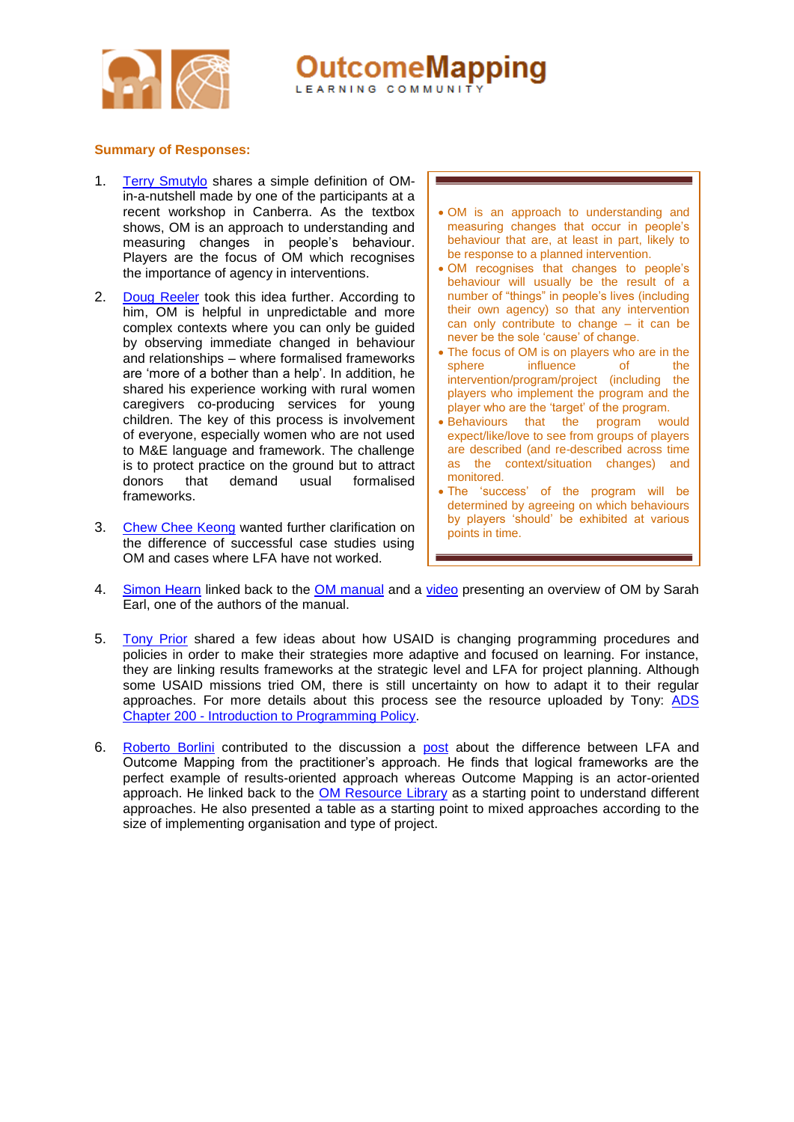

**OutcomeMapping** LEARNING COMMUNIT

## **Summary of Responses:**

- 1. [Terry Smutylo](http://www.outcomemapping.ca/members/member.php?id=94) shares a simple definition of OMin-a-nutshell made by one of the participants at a recent workshop in Canberra. As the textbox shows, OM is an approach to understanding and measuring changes in people's behaviour. Players are the focus of OM which recognises the importance of agency in interventions.
- 2. [Doug Reeler](http://www.outcomemapping.ca/members/member.php?id=134) took this idea further. According to him, OM is helpful in unpredictable and more complex contexts where you can only be guided by observing immediate changed in behaviour and relationships – where formalised frameworks are 'more of a bother than a help'. In addition, he shared his experience working with rural women caregivers co-producing services for young children. The key of this process is involvement of everyone, especially women who are not used to M&E language and framework. The challenge is to protect practice on the ground but to attract donors that demand usual formalised frameworks.
- 3. [Chew Chee Keong](http://www.outcomemapping.ca/members/member.php?id=1983) wanted further clarification on the difference of successful case studies using OM and cases where LFA have not worked.
- OM is an approach to understanding and measuring changes that occur in people's behaviour that are, at least in part, likely to be response to a planned intervention.
- OM recognises that changes to people's behaviour will usually be the result of a number of "things" in people's lives (including their own agency) so that any intervention can only contribute to change – it can be never be the sole 'cause' of change.
- The focus of OM is on players who are in the sphere influence of the intervention/program/project (including the players who implement the program and the player who are the 'target' of the program.
- Behaviours that the program would expect/like/love to see from groups of players are described (and re-described across time as the context/situation changes) and monitored.
- The 'success' of the program will be determined by agreeing on which behaviours by players 'should' be exhibited at various points in time.
- 4. [Simon Hearn](http://www.outcomemapping.ca/members/member.php?id=578) linked back to the [OM manual](http://outcomemapping.ca/resource/resource.php?id=269) and a [video](http://vimeo.com/channels/outcomemapping#38502384) presenting an overview of OM by Sarah Earl, one of the authors of the manual.
- 5. [Tony Prior](http://www.outcomemapping.ca/members/member.php?id=3551) shared a few ideas about how USAID is changing programming procedures and policies in order to make their strategies more adaptive and focused on learning. For instance, they are linking results frameworks at the strategic level and LFA for project planning. Although some USAID missions tried OM, there is still uncertainty on how to adapt it to their regular approaches. For more details about this process see the resource uploaded by Tony: [ADS](http://transition.usaid.gov/policy/ads/200/200.pdf)  Chapter 200 - [Introduction to Programming Policy.](http://transition.usaid.gov/policy/ads/200/200.pdf)
- 6. [Roberto Borlini](http://www.outcomemapping.ca/members/member.php?id=2833) contributed to the discussion a [post](http://monitoringaid.blogspot.com/2012/04/logframes-vs-outcome-mapping.html) about the difference between LFA and Outcome Mapping from the practitioner's approach. He finds that logical frameworks are the perfect example of results-oriented approach whereas Outcome Mapping is an actor-oriented approach. He linked back to the **OM Resource Library** as a starting point to understand different approaches. He also presented a table as a starting point to mixed approaches according to the size of implementing organisation and type of project.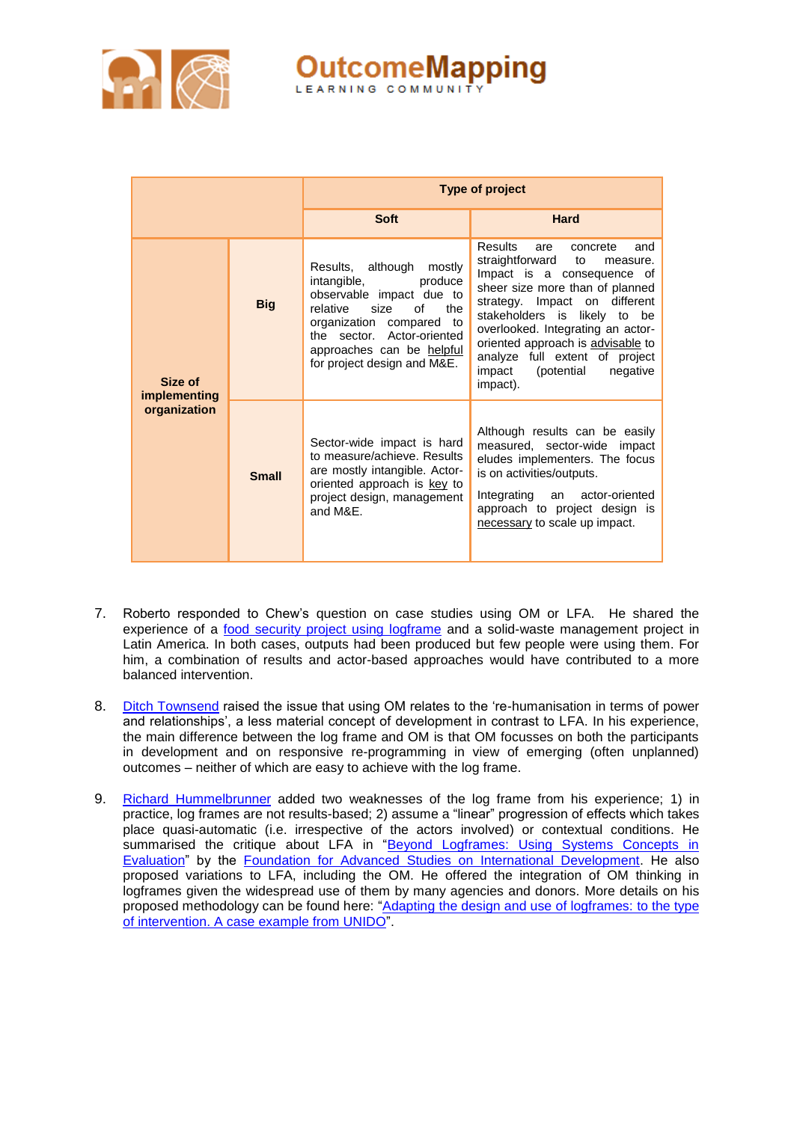

**OutcomeMapping** 

|                                         |              | Type of project                                                                                                                                                                                                                          |                                                                                                                                                                                                                                                                                                                                                                          |
|-----------------------------------------|--------------|------------------------------------------------------------------------------------------------------------------------------------------------------------------------------------------------------------------------------------------|--------------------------------------------------------------------------------------------------------------------------------------------------------------------------------------------------------------------------------------------------------------------------------------------------------------------------------------------------------------------------|
|                                         |              | <b>Soft</b>                                                                                                                                                                                                                              | Hard                                                                                                                                                                                                                                                                                                                                                                     |
| Size of<br>implementing<br>organization | <b>Big</b>   | Results, although<br>mostly<br>intangible,<br>produce<br>observable impact due to<br>relative<br>size<br>of<br>the<br>organization compared to<br>the sector. Actor-oriented<br>approaches can be helpful<br>for project design and M&E. | <b>Results</b><br>are<br>concrete<br>and<br>straightforward to<br>measure.<br>Impact is a consequence of<br>sheer size more than of planned<br>strategy. Impact on different<br>stakeholders is likely to be<br>overlooked. Integrating an actor-<br>oriented approach is advisable to<br>analyze full extent of project<br>(potential<br>negative<br>impact<br>impact). |
|                                         | <b>Small</b> | Sector-wide impact is hard<br>to measure/achieve. Results<br>are mostly intangible. Actor-<br>oriented approach is key to<br>project design, management<br>and M&E.                                                                      | Although results can be easily<br>measured, sector-wide impact<br>eludes implementers. The focus<br>is on activities/outputs.<br>Integrating an<br>actor-oriented<br>approach to project design is<br>necessary to scale up impact.                                                                                                                                      |

- 7. Roberto responded to Chew's question on case studies using OM or LFA. He shared the experience of a [food security project using logframe](http://www.outcomemapping.ca/forum/download.php?id=547) and a solid-waste management project in Latin America. In both cases, outputs had been produced but few people were using them. For him, a combination of results and actor-based approaches would have contributed to a more balanced intervention.
- 8. [Ditch Townsend](http://www.outcomemapping.ca/members/member.php?id=4503) raised the issue that using OM relates to the 're-humanisation in terms of power and relationships', a less material concept of development in contrast to LFA. In his experience, the main difference between the log frame and OM is that OM focusses on both the participants in development and on responsive re-programming in view of emerging (often unplanned) outcomes – neither of which are easy to achieve with the log frame.
- 9. [Richard Hummelbrunner](http://www.outcomemapping.ca/members/member.php?id=3303) added two weaknesses of the log frame from his experience; 1) in practice, log frames are not results-based; 2) assume a "linear" progression of effects which takes place quasi-automatic (i.e. irrespective of the actors involved) or contextual conditions. He summarised the critique about LFA in "Beyond Logframes: Using Systems Concepts in [Evaluation"](http://fasid.or.jp/shuppan/hokokusho/pdf/h21-3.pdf) by the [Foundation for Advanced Studies on International Development.](http://www.fasid.or.jp/english/) He also proposed variations to LFA, including the OM. He offered the integration of OM thinking in logframes given the widespread use of them by many agencies and donors. More details on his proposed methodology can be found here: "Adapting the design and use of logframes: to the type [of intervention. A case example from UNIDO"](http://www.outcomemapping.ca/forum/download.php?id=548).